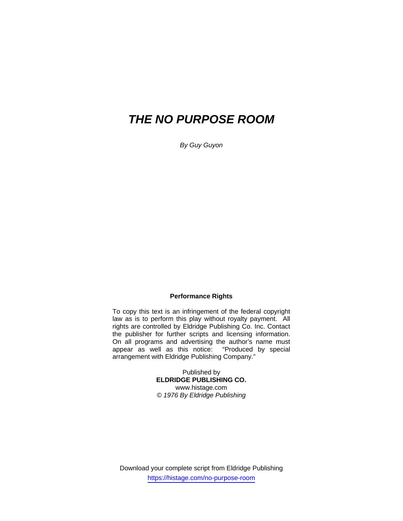# *THE NO PURPOSE ROOM*

*By Guy Guyon* 

## **Performance Rights**

To copy this text is an infringement of the federal copyright law as is to perform this play without royalty payment. All rights are controlled by Eldridge Publishing Co. Inc. Contact the publisher for further scripts and licensing information. On all programs and advertising the author's name must appear as well as this notice: "Produced by special arrangement with Eldridge Publishing Company."

> Published by **ELDRIDGE PUBLISHING CO.**  www.histage.com *© 1976 By Eldridge Publishing*

Download your complete script from Eldridge Publishing https://histage.com/no-purpose-room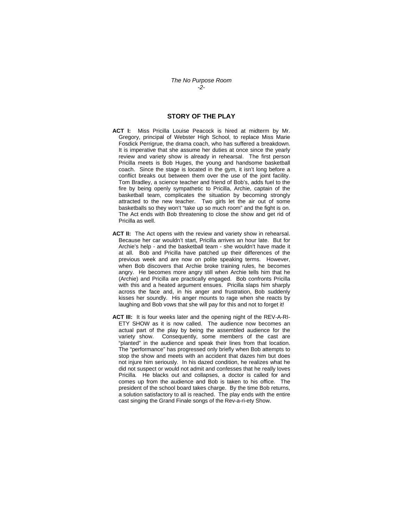### **STORY OF THE PLAY**

- **ACT I:** Miss Pricilla Louise Peacock is hired at midterm by Mr. Gregory, principal of Webster High School, to replace Miss Marie Fosdick Perrigrue, the drama coach, who has suffered a breakdown. It is imperative that she assume her duties at once since the yearly review and variety show is already in rehearsal. The first person Pricilla meets is Bob Huges, the young and handsome basketball coach. Since the stage is located in the gym, it isn't long before a conflict breaks out between them over the use of the joint facility. Tom Bradley, a science teacher and friend of Bob's, adds fuel to the fire by being openly sympathetic to Pricilla, Archie, captain of the basketball team, complicates the situation by becoming strongly attracted to the new teacher. Two girls let the air out of some basketballs so they won't "take up so much room" and the fight is on. The Act ends with Bob threatening to close the show and get rid of Pricilla as well.
- **ACT II:** The Act opens with the review and variety show in rehearsal. Because her car wouldn't start, Pricilla arrives an hour late. But for Archie's help - and the basketball team - she wouldn't have made it at all. Bob and Pricilla have patched up their differences of the previous week and are now on polite speaking terms. However, when Bob discovers that Archie broke training rules, he becomes angry. He becomes more angry still when Archie tells him that he (Archie) and Pricilla are practically engaged. Bob confronts Pricilla with this and a heated argument ensues. Pricilla slaps him sharply across the face and, in his anger and frustration, Bob suddenly kisses her soundly. His anger mounts to rage when she reacts by laughing and Bob vows that she will pay for this and not to forget it!
- **ACT III:** It is four weeks later and the opening night of the REV-A-RI-ETY SHOW as it is now called. The audience now becomes an actual part of the play by being the assembled audience for the variety show. Consequently, some members of the cast are "planted" in the audience and speak their lines from that location. The "performance" has progressed only briefly when Bob attempts to stop the show and meets with an accident that dazes him but does not injure him seriously. In his dazed condition, he realizes what he did not suspect or would not admit and confesses that he really loves Pricilla. He blacks out and collapses, a doctor is called for and comes up from the audience and Bob is taken to his office. The president of the school board takes charge. By the time Bob returns, a solution satisfactory to all is reached. The play ends with the entire cast singing the Grand Finale songs of the Rev-a-ri-ety Show.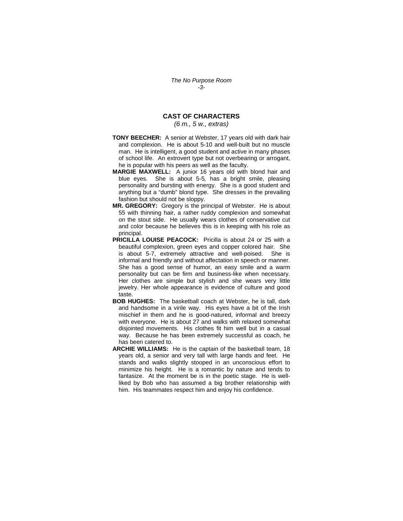## **CAST OF CHARACTERS**

#### *(6 m., 5 w., extras)*

- **TONY BEECHER:**A senior at Webster, 17 years old with dark hair and complexion. He is about 5-10 and well-built but no muscle man. He is intelligent, a good student and active in many phases of school life. An extrovert type but not overbearing or arrogant, he is popular with his peers as well as the faculty.
- **MARGIE MAXWELL:** A junior 16 years old with blond hair and blue eyes. She is about 5-5*,* has a bright smile, pleasing personality and bursting with energy. She is a good student and anything but a "dumb" blond type. She dresses in the prevailing fashion but should not be sloppy.
- **MR. GREGORY:** Gregory is the principal of Webster. He is about 55 with thinning hair, a rather ruddy complexion and somewhat on the stout side. He usually wears clothes of conservative cut and color because he believes this is in keeping with his role as principal.
- **PRICILLA LOUISE PEACOCK:** Pricilla is about 24 or 25 with a beautiful complexion, green eyes and copper colored hair. She is about 5-7, extremely attractive and well-poised. She is informal and friendly and without affectation in speech or manner. She has a good sense of humor, an easy smile and a warm personality but can be firm and business-like when necessary. Her clothes are simple but stylish and she wears very little jewelry. Her whole appearance is evidence of culture and good taste.
- **BOB HUGHES:** The basketball coach at Webster, he is tall, dark and handsome in a virile way. His eyes have a bit of the Irish mischief in them and he is good-natured, informal and breezy with everyone. He is about 27 and walks with relaxed somewhat disjointed movements. His clothes fit him well but in a casual way. Because he has been extremely successful as coach, he has been catered to.
- **ARCHIE WILLIAMS:** He is the captain of the basketball team, 18 years old, a senior and very tall with large hands and feet. He stands and walks slightly stooped in an unconscious effort to minimize his height. He is a romantic by nature and tends to fantasize.At the moment be is in the poetic stage. He is wellliked by Bob who has assumed a big brother relationship with him. His teammates respect him and enjoy his confidence.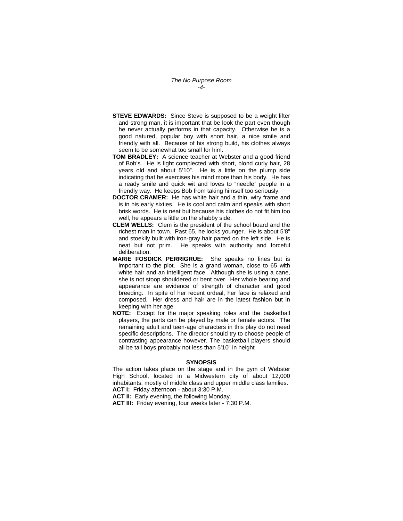*The No Purpose Room -4-* 

- **STEVE EDWARDS:** Since Steve is supposed to be a weight lifter and strong man, it is important that be look the part even though he never actually performs in that capacity. Otherwise he is a good natured, popular boy with short hair, a nice smile and friendly with all. Because of his strong build, his clothes always seem to be somewhat too small for him.
- **TOM BRADLEY:** A science teacher at Webster and a good friend of Bob's. He is light complected with short, blond curly hair, 28 years old and about 5'10"*.* He is a little on the plump side indicating that he exercises his mind more than his body.He has a ready smile and quick wit and loves to "needle" people in a friendly way. He keeps Bob from taking himself too seriously.
- **DOCTOR CRAMER:** He has white hair and a thin, wiry frame and is in his early sixties. He is cool and calm and speaks with short brisk words. He is neat but because his clothes do not fit him too well, he appears a little on the shabby side.
- **CLEM WELLS:** Clem is the president of the school board and the richest man in town. Past 65, he looks younger. He is about 5'8" and stoekily built with iron-gray hair parted on the left side. He is neat but not prim. He speaks with authority and forceful deliberation.
- **MARIE FOSDICK PERRIGRUE:** She speaks no lines but is important to the plot. She is a grand woman, close to 65 with white hair and an intelligent face. Although she is using a cane, she is not stoop shouldered or bent over. Her whole bearing and appearance are evidence of strength of character and good breeding. In spite of her recent ordeal, her face is relaxed and composed. Her dress and hair are in the latest fashion but in keeping with her age.
- **NOTE:** Except for the major speaking roles and the basketball players, the parts can be played by male or female actors. The remaining adult and teen-age characters in this play do not need specific descriptions. The director should try to choose people of contrasting appearance however. The basketball players should all be tall boys probably not less than 5'10" in height

#### **SYNOPSIS**

The action takes place on the stage and in the gym of Webster High School, located in a Midwestern city of about 12,000 inhabitants, mostly of middle class and upper middle class families. **ACT I:** Friday afternoon - about 3:30 P.M.

**ACT II:** Early evening, the following Monday.

**ACT III:** Friday evening, four weeks later - 7:30 P.M.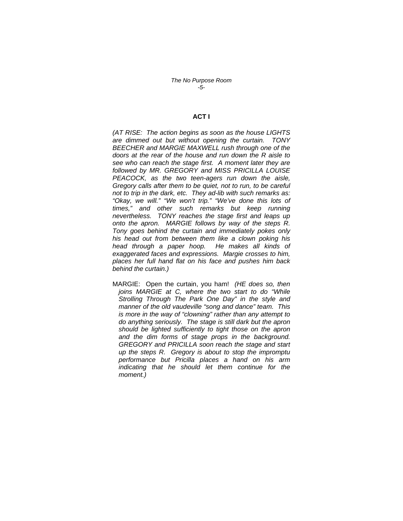#### **ACT I**

*(AT RISE: The action begins as soon as the house LIGHTS are dimmed out but without opening the curtain. TONY BEECHER and MARGIE MAXWELL rush through one of the doors at the rear of the house and run down the R aisle to see who can reach the stage first. A moment later they are followed by MR. GREGORY and MISS PRICILLA LOUISE PEACOCK, as the two teen-agers run down the aisle, Gregory calls after them to be quiet, not to run, to be careful not to trip in the dark, etc. They ad-lib with such remarks as: "Okay, we will." "We won't trip." "We've done this lots of times," and other such remarks but keep running nevertheless. TONY reaches the stage first and leaps up onto the apron. MARGIE follows by way of the steps R. Tony goes behind the curtain and immediately pokes only his head out from between them like a clown poking his head through a paper hoop. He makes all kinds of exaggerated faces and expressions. Margie crosses to him, places her full hand flat on his face and pushes him back behind the curtain.)* 

MARGIE:Open the curtain, you ham! *(HE does so, then joins MARGIE at C, where the two start to do "While Strolling Through The Park One Day" in the style and manner of the old vaudeville "song and dance" team. This is more in the way of "clowning" rather than any attempt to do anything seriously. The stage is still dark but the apron should be lighted sufficiently to tight those on the apron and the dim forms of stage props in the background. GREGORY and PRICILLA soon reach the stage and start up the steps R. Gregory is about to stop the impromptu performance but Pricilla places a hand on his arm indicating that he should let them continue for the moment.)*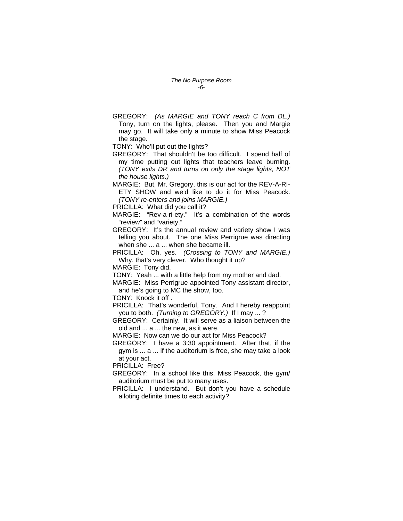GREGORY:*(As MARGIE and TONY reach C from DL.)*  Tony, turn on the lights, please. Then you and Margie may go. It will take only a minute to show Miss Peacock the stage.

TONY: Who'll put out the lights?

GREGORY: That shouldn't be too difficult.I spend half of my time putting out lights that teachers leave burning. *(TONY exits DR and turns on only the stage lights, NOT the house lights.)* 

MARGIE: But, Mr. Gregory, this is our act for the REV-A-RI-ETY SHOW and we'd like to do it for Miss Peacock. *(TONY re-enters and joins MARGIE.)* 

PRICILLA: What did you call it?

MARGIE: "Rev-a-ri-ety." It's a combination of the words "review" and "variety."

GREGORY: It's the annual review and variety show I was telling you about. The one Miss Perrigrue was directing when she ... a ... when she became ill.

PRICILLA:Oh, yes. *(Crossing to TONY and MARGIE.)*  Why, that's very clever. Who thought it up?

MARGIE: Tony did.

TONY: Yeah ... with a little help from my mother and dad.

MARGIE:Miss Perrigrue appointed Tony assistant director, and he's going to MC the show, too.

TONY: Knock it off .

PRICILLA:That's wonderful, Tony. And I hereby reappoint you to both. *(Turning to GREGORY.)* If I may ... ?

GREGORY:Certainly. It will serve as a liaison between the old and ... a ... the new, as it were.

MARGIE: Now can we do our act for Miss Peacock?

GREGORY: I have a 3:30 appointment. After that, if the gym is ... a ... if the auditorium is free, she may take a look at your act.

PRICILLA:Free?

GREGORY:In a school like this, Miss Peacock, the gym/ auditorium must be put to many uses.

PRICILLA:I understand. But don't you have a schedule alloting definite times to each activity?